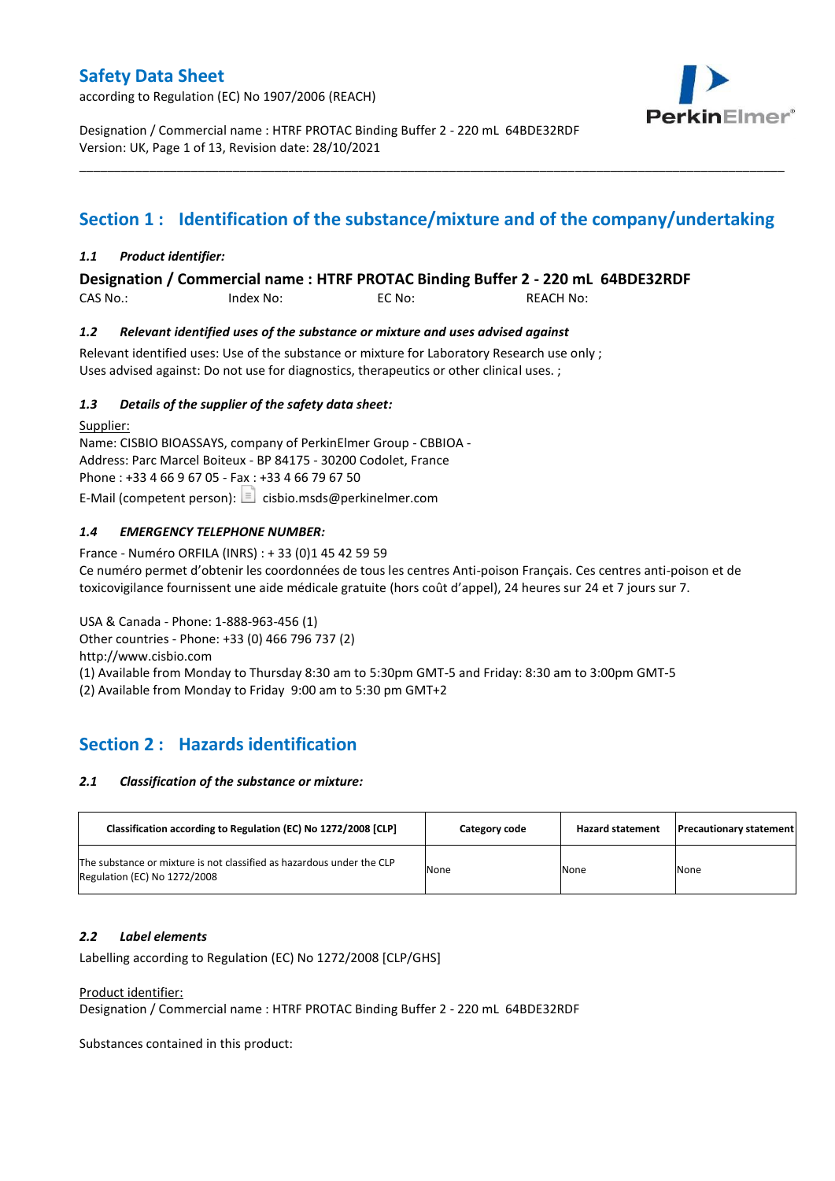according to Regulation (EC) No 1907/2006 (REACH)



Designation / Commercial name : HTRF PROTAC Binding Buffer 2 - 220 mL 64BDE32RDF Version: UK, Page 1 of 13, Revision date: 28/10/2021

## **Section 1 : Identification of the substance/mixture and of the company/undertaking**

\_\_\_\_\_\_\_\_\_\_\_\_\_\_\_\_\_\_\_\_\_\_\_\_\_\_\_\_\_\_\_\_\_\_\_\_\_\_\_\_\_\_\_\_\_\_\_\_\_\_\_\_\_\_\_\_\_\_\_\_\_\_\_\_\_\_\_\_\_\_\_\_\_\_\_\_\_\_\_\_\_\_\_\_\_\_\_\_\_\_\_\_\_\_\_\_\_\_\_\_\_

## *1.1 Product identifier:*

## **Designation / Commercial name : HTRF PROTAC Binding Buffer 2 - 220 mL 64BDE32RDF**

CAS No.: Index No: EC No: REACH No:

### *1.2 Relevant identified uses of the substance or mixture and uses advised against*

Relevant identified uses: Use of the substance or mixture for Laboratory Research use only ; Uses advised against: Do not use for diagnostics, therapeutics or other clinical uses. ;

### *1.3 Details of the supplier of the safety data sheet:*

Supplier: Name: CISBIO BIOASSAYS, company of PerkinElmer Group - CBBIOA - Address: Parc Marcel Boiteux - BP 84175 - 30200 Codolet, France Phone : +33 4 66 9 67 05 - Fax : +33 4 66 79 67 50 E-Mail (competent person):  $\Box$  cisbio.msds@perkinelmer.com

## *1.4 EMERGENCY TELEPHONE NUMBER:*

France - Numéro ORFILA (INRS) : + 33 (0)1 45 42 59 59 Ce numéro permet d'obtenir les coordonnées de tous les centres Anti-poison Français. Ces centres anti-poison et de toxicovigilance fournissent une aide médicale gratuite (hors coût d'appel), 24 heures sur 24 et 7 jours sur 7.

USA & Canada - Phone: 1-888-963-456 (1)

Other countries - Phone: +33 (0) 466 796 737 (2)

http://www.cisbio.com

(1) Available from Monday to Thursday 8:30 am to 5:30pm GMT-5 and Friday: 8:30 am to 3:00pm GMT-5

(2) Available from Monday to Friday 9:00 am to 5:30 pm GMT+2

## **Section 2 : Hazards identification**

### *2.1 Classification of the substance or mixture:*

| Classification according to Regulation (EC) No 1272/2008 [CLP]                                        | Category code | <b>Hazard statement</b> | <b>Precautionary statement</b> |
|-------------------------------------------------------------------------------------------------------|---------------|-------------------------|--------------------------------|
| The substance or mixture is not classified as hazardous under the CLP<br>Regulation (EC) No 1272/2008 | None          | None                    | None                           |

### *2.2 Label elements*

Labelling according to Regulation (EC) No 1272/2008 [CLP/GHS]

### Product identifier:

Designation / Commercial name : HTRF PROTAC Binding Buffer 2 - 220 mL 64BDE32RDF

Substances contained in this product: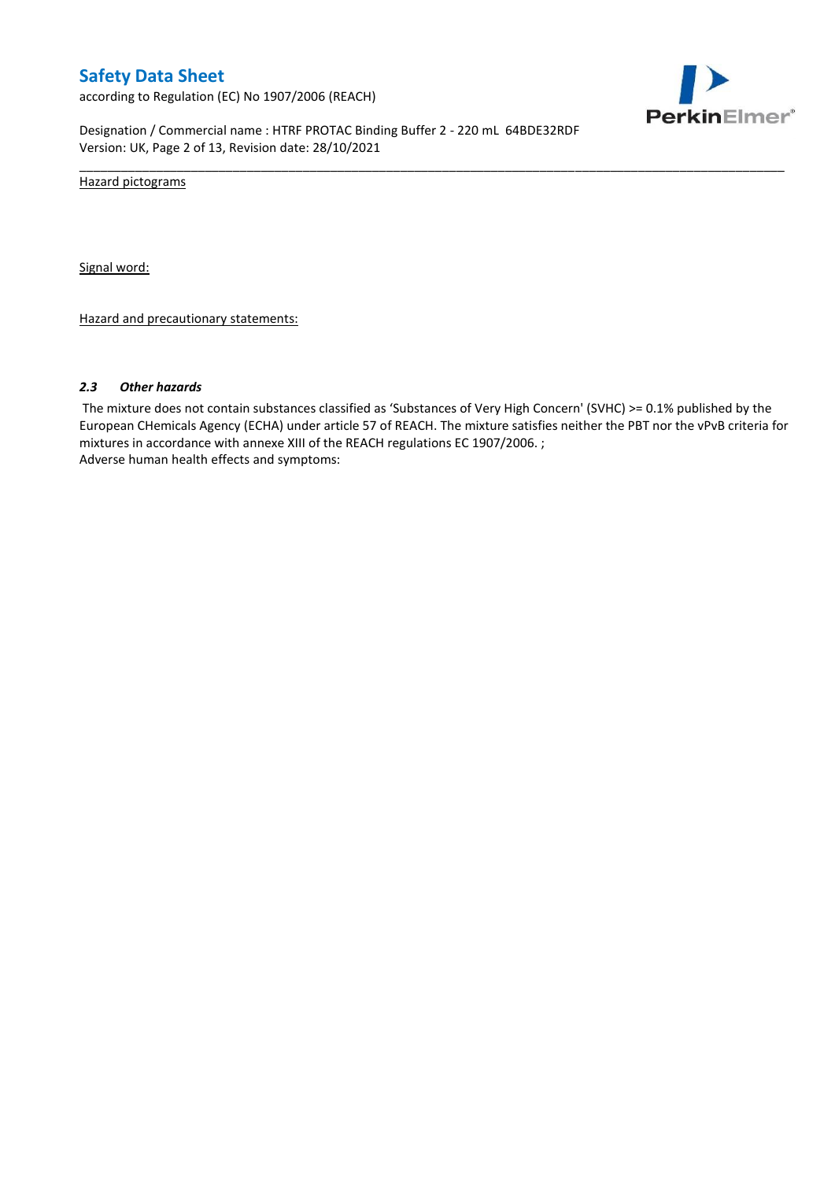according to Regulation (EC) No 1907/2006 (REACH)



Designation / Commercial name : HTRF PROTAC Binding Buffer 2 - 220 mL 64BDE32RDF Version: UK, Page 2 of 13, Revision date: 28/10/2021

Hazard pictograms

Signal word:

Hazard and precautionary statements:

#### *2.3 Other hazards*

The mixture does not contain substances classified as 'Substances of Very High Concern' (SVHC) >= 0.1% published by the European CHemicals Agency (ECHA) under article 57 of REACH. The mixture satisfies neither the PBT nor the vPvB criteria for mixtures in accordance with annexe XIII of the REACH regulations EC 1907/2006. ; Adverse human health effects and symptoms:

\_\_\_\_\_\_\_\_\_\_\_\_\_\_\_\_\_\_\_\_\_\_\_\_\_\_\_\_\_\_\_\_\_\_\_\_\_\_\_\_\_\_\_\_\_\_\_\_\_\_\_\_\_\_\_\_\_\_\_\_\_\_\_\_\_\_\_\_\_\_\_\_\_\_\_\_\_\_\_\_\_\_\_\_\_\_\_\_\_\_\_\_\_\_\_\_\_\_\_\_\_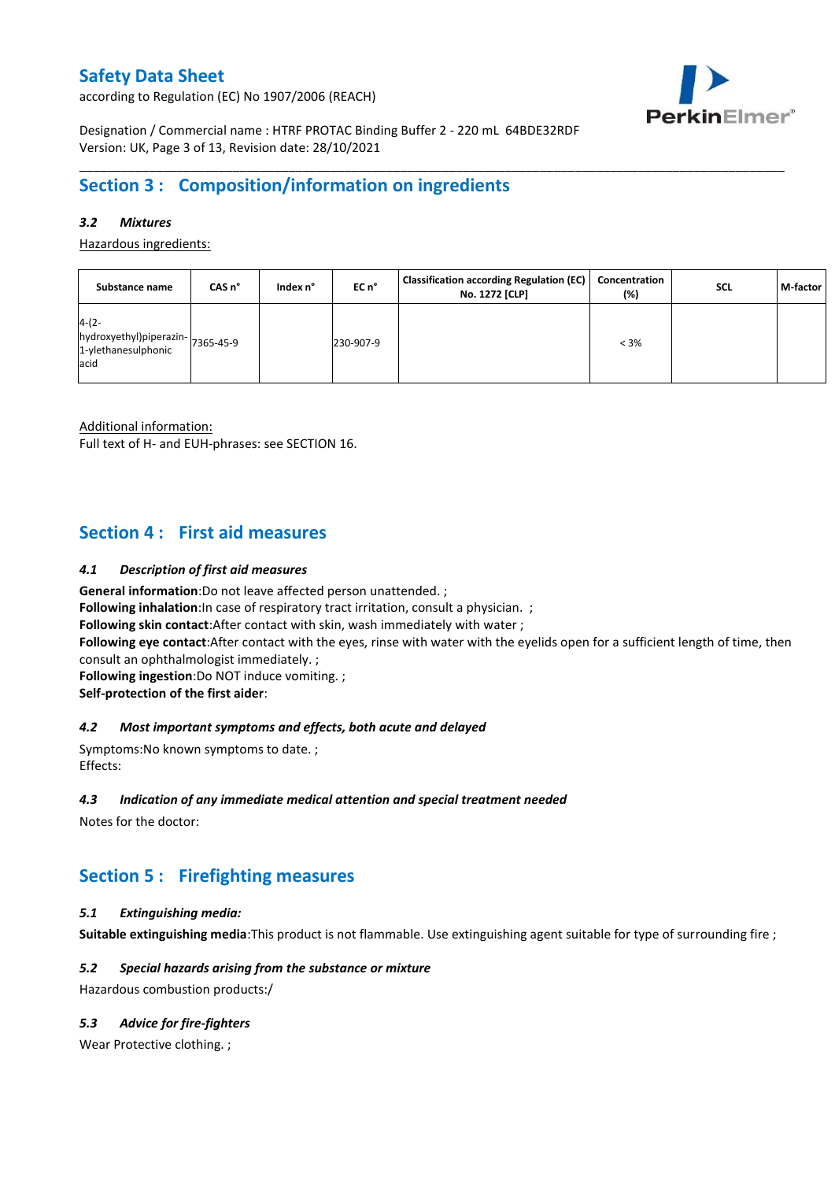according to Regulation (EC) No 1907/2006 (REACH)



Designation / Commercial name : HTRF PROTAC Binding Buffer 2 - 220 mL 64BDE32RDF Version: UK, Page 3 of 13, Revision date: 28/10/2021

## **Section 3 : Composition/information on ingredients**

## *3.2 Mixtures*

Hazardous ingredients:

| Substance name                                                     | CAS n°    | Index n° | EC n°     | <b>Classification according Regulation (EC)</b><br>No. 1272 [CLP] | Concentration<br>(%) | SCL | M-factor |
|--------------------------------------------------------------------|-----------|----------|-----------|-------------------------------------------------------------------|----------------------|-----|----------|
| $4-(2-$<br>hydroxyethyl)piperazin-<br>1-ylethanesulphonic<br>lacid | 7365-45-9 |          | 230-907-9 |                                                                   | $< 3\%$              |     |          |

\_\_\_\_\_\_\_\_\_\_\_\_\_\_\_\_\_\_\_\_\_\_\_\_\_\_\_\_\_\_\_\_\_\_\_\_\_\_\_\_\_\_\_\_\_\_\_\_\_\_\_\_\_\_\_\_\_\_\_\_\_\_\_\_\_\_\_\_\_\_\_\_\_\_\_\_\_\_\_\_\_\_\_\_\_\_\_\_\_\_\_\_\_\_\_\_\_\_\_\_\_

Additional information:

Full text of H- and EUH-phrases: see SECTION 16.

## **Section 4 : First aid measures**

### *4.1 Description of first aid measures*

**General information**:Do not leave affected person unattended. ;

**Following inhalation:**In case of respiratory tract irritation, consult a physician. ;

**Following skin contact**:After contact with skin, wash immediately with water ;

**Following eye contact**:After contact with the eyes, rinse with water with the eyelids open for a sufficient length of time, then consult an ophthalmologist immediately. ;

**Following ingestion**:Do NOT induce vomiting. ;

**Self-protection of the first aider**:

### *4.2 Most important symptoms and effects, both acute and delayed*

Symptoms:No known symptoms to date. ; Effects:

### *4.3 Indication of any immediate medical attention and special treatment needed*

Notes for the doctor:

## **Section 5 : Firefighting measures**

### *5.1 Extinguishing media:*

**Suitable extinguishing media**:This product is not flammable. Use extinguishing agent suitable for type of surrounding fire ;

### *5.2 Special hazards arising from the substance or mixture*

Hazardous combustion products:/

### *5.3 Advice for fire-fighters*

Wear Protective clothing.;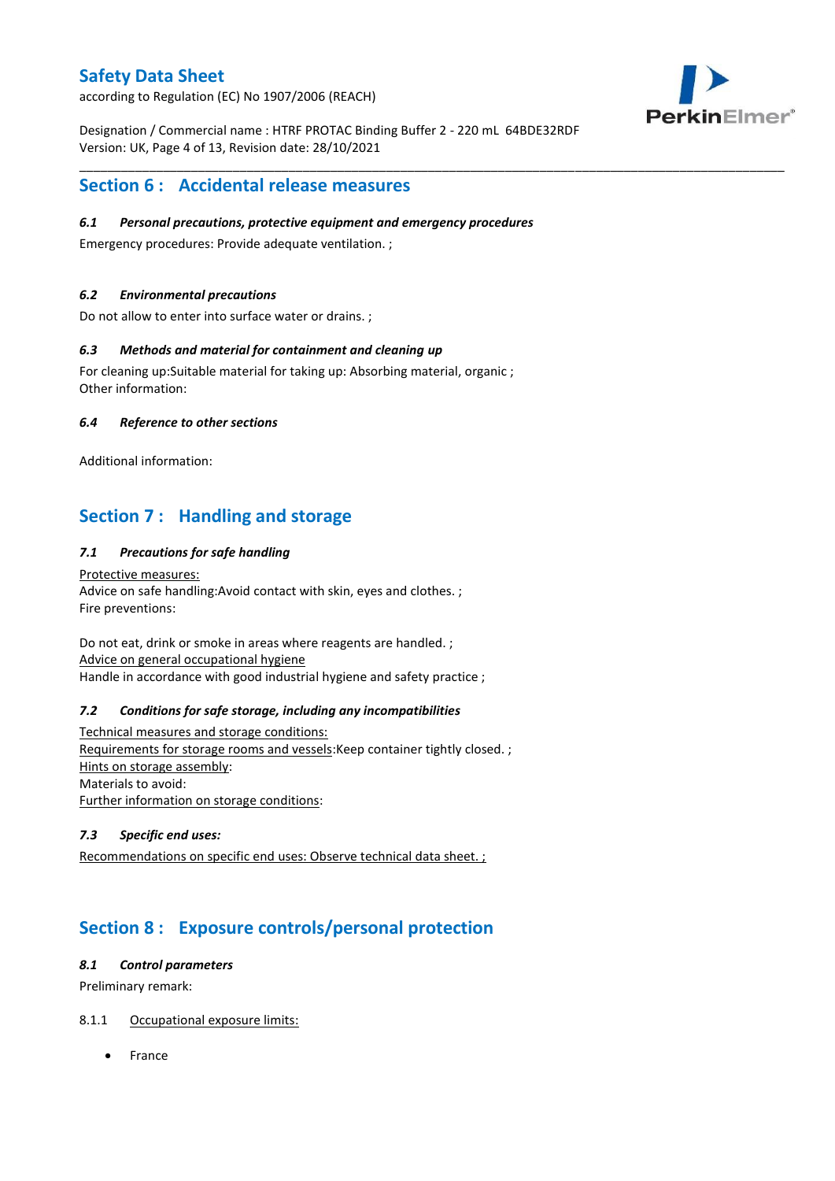according to Regulation (EC) No 1907/2006 (REACH)

Designation / Commercial name : HTRF PROTAC Binding Buffer 2 - 220 mL 64BDE32RDF Version: UK, Page 4 of 13, Revision date: 28/10/2021

\_\_\_\_\_\_\_\_\_\_\_\_\_\_\_\_\_\_\_\_\_\_\_\_\_\_\_\_\_\_\_\_\_\_\_\_\_\_\_\_\_\_\_\_\_\_\_\_\_\_\_\_\_\_\_\_\_\_\_\_\_\_\_\_\_\_\_\_\_\_\_\_\_\_\_\_\_\_\_\_\_\_\_\_\_\_\_\_\_\_\_\_\_\_\_\_\_\_\_\_\_



## **Section 6 : Accidental release measures**

## *6.1 Personal precautions, protective equipment and emergency procedures*

Emergency procedures: Provide adequate ventilation. ;

### *6.2 Environmental precautions*

Do not allow to enter into surface water or drains. ;

### *6.3 Methods and material for containment and cleaning up*

For cleaning up:Suitable material for taking up: Absorbing material, organic ; Other information:

### *6.4 Reference to other sections*

Additional information:

## **Section 7 : Handling and storage**

## *7.1 Precautions for safe handling*

Protective measures: Advice on safe handling:Avoid contact with skin, eyes and clothes. ; Fire preventions:

Do not eat, drink or smoke in areas where reagents are handled. ; Advice on general occupational hygiene Handle in accordance with good industrial hygiene and safety practice ;

### *7.2 Conditions for safe storage, including any incompatibilities*

Technical measures and storage conditions: Requirements for storage rooms and vessels:Keep container tightly closed. ; Hints on storage assembly: Materials to avoid: Further information on storage conditions:

## *7.3 Specific end uses:*

Recommendations on specific end uses: Observe technical data sheet. ;

## **Section 8 : Exposure controls/personal protection**

### *8.1 Control parameters*

Preliminary remark:

## 8.1.1 Occupational exposure limits:

France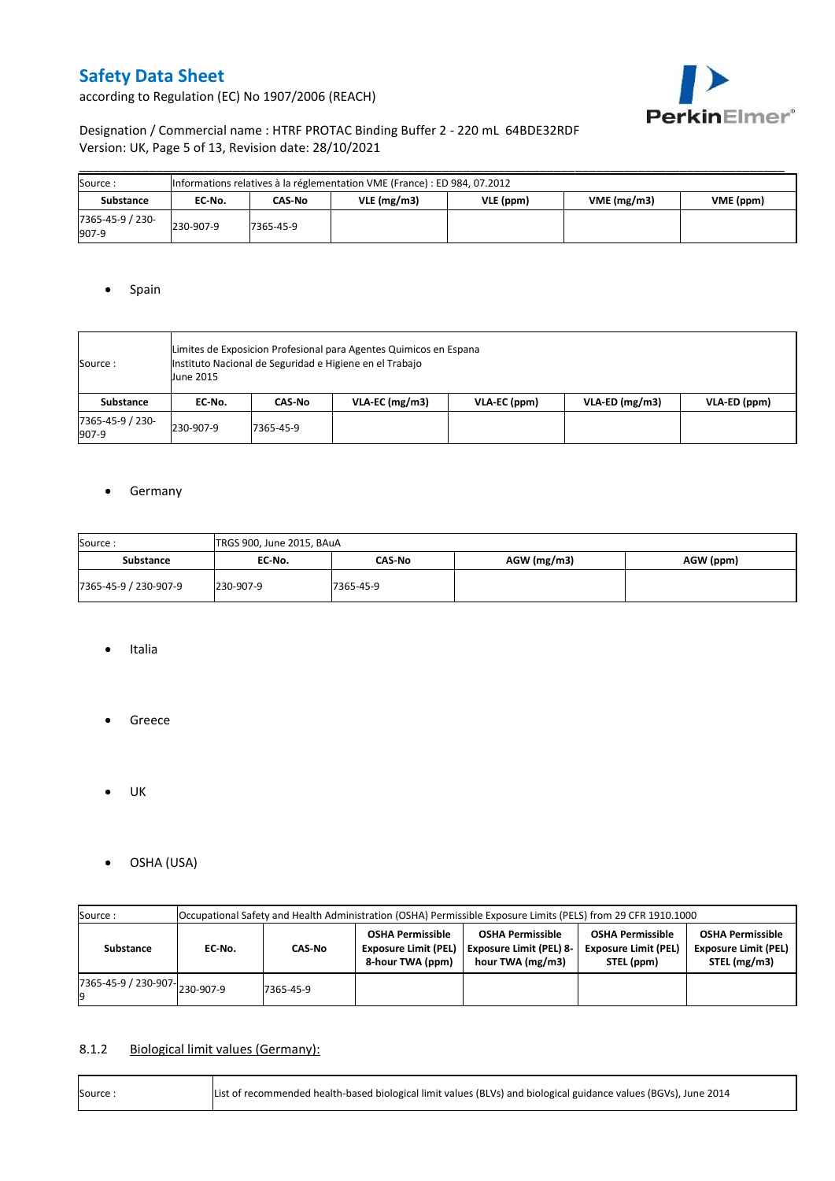according to Regulation (EC) No 1907/2006 (REACH)



## Designation / Commercial name : HTRF PROTAC Binding Buffer 2 - 220 mL 64BDE32RDF Version: UK, Page 5 of 13, Revision date: 28/10/2021

| Source:                   | Informations relatives à la réglementation VME (France) : ED 984, 07.2012 |           |               |           |           |  |  |  |  |  |  |
|---------------------------|---------------------------------------------------------------------------|-----------|---------------|-----------|-----------|--|--|--|--|--|--|
| Substance                 | EC No.                                                                    | CAS-No    | $VLE$ (mg/m3) | VLE (ppm) | VME (ppm) |  |  |  |  |  |  |
| 7365-45-9 / 230-<br>907-9 | 230-907-9                                                                 | 7365-45-9 |               |           |           |  |  |  |  |  |  |

## • Spain

| Source :                  | Limites de Exposicion Profesional para Agentes Quimicos en Espana<br>Instituto Nacional de Seguridad e Higiene en el Trabajo<br><b>June 2015</b> |           |                  |              |                  |              |  |  |  |  |
|---------------------------|--------------------------------------------------------------------------------------------------------------------------------------------------|-----------|------------------|--------------|------------------|--------------|--|--|--|--|
| Substance                 | EC No.                                                                                                                                           | CAS-No    | $VLA-EC$ (mg/m3) | VLA-EC (ppm) | $VLA-ED$ (mg/m3) | VLA-ED (ppm) |  |  |  |  |
| 7365-45-9 / 230-<br>907-9 | 230-907-9                                                                                                                                        | 7365-45-9 |                  |              |                  |              |  |  |  |  |

## **•** Germany

| Source:<br>TRGS 900, June 2015, BAuA |           |           |             |           |  |  |  |  |  |
|--------------------------------------|-----------|-----------|-------------|-----------|--|--|--|--|--|
| <b>Substance</b>                     | EC No.    | CAS-No    | AGW (mg/m3) | AGW (ppm) |  |  |  |  |  |
| 7365-45-9 / 230-907-9                | 230-907-9 | 7365-45-9 |             |           |  |  |  |  |  |

- Italia
- **•** Greece
- $\bullet$  UK
- OSHA (USA)

| Source:                                  | Occupational Safety and Health Administration (OSHA) Permissible Exposure Limits (PELS) from 29 CFR 1910.1000 |                                       |  |                                                                               |                                                                      |                                                                        |  |  |  |  |
|------------------------------------------|---------------------------------------------------------------------------------------------------------------|---------------------------------------|--|-------------------------------------------------------------------------------|----------------------------------------------------------------------|------------------------------------------------------------------------|--|--|--|--|
| Substance                                | EC No.                                                                                                        | <b>Exposure Limit (PEL)</b><br>CAS-No |  | <b>OSHA Permissible</b><br><b>Exposure Limit (PEL) 8-</b><br>hour TWA (mg/m3) | <b>OSHA Permissible</b><br><b>Exposure Limit (PEL)</b><br>STEL (ppm) | <b>OSHA Permissible</b><br><b>Exposure Limit (PEL)</b><br>STEL (mg/m3) |  |  |  |  |
| $17365 - 45 - 9$ / 230-907-<br>230-907-9 |                                                                                                               | 7365-45-9                             |  |                                                                               |                                                                      |                                                                        |  |  |  |  |

## 8.1.2 Biological limit values (Germany):

| Source: | List of recommended health-based biological limit values (BLVs) and biological guidance values (BGVs), June 2014 |
|---------|------------------------------------------------------------------------------------------------------------------|
|---------|------------------------------------------------------------------------------------------------------------------|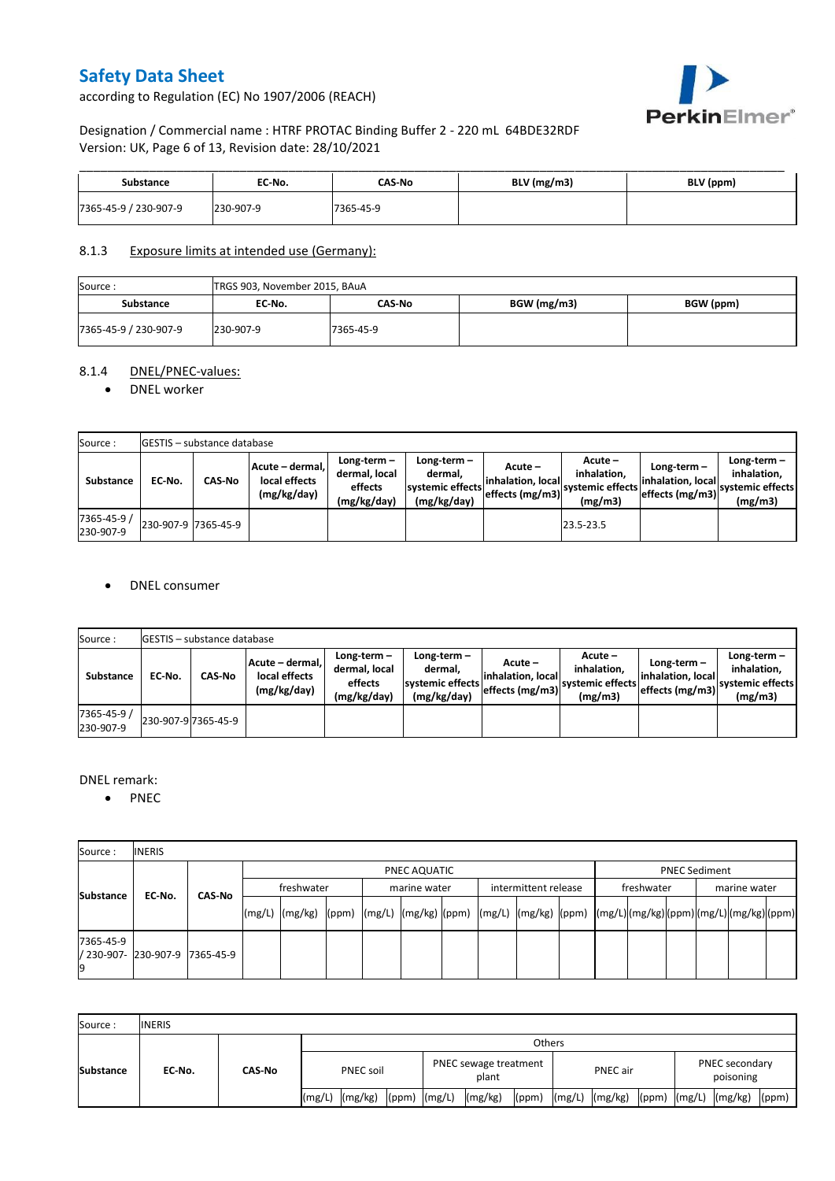according to Regulation (EC) No 1907/2006 (REACH)



## Designation / Commercial name : HTRF PROTAC Binding Buffer 2 - 220 mL 64BDE32RDF Version: UK, Page 6 of 13, Revision date: 28/10/2021

| Substance             | EC No.    | <b>CAS-No</b> | $BLV$ (mg/m3) | BLV (ppm) |
|-----------------------|-----------|---------------|---------------|-----------|
| 7365-45-9 / 230-907-9 | 230-907-9 | 7365-45-9     |               |           |

### 8.1.3 Exposure limits at intended use (Germany):

| Source:               | TRGS 903, November 2015, BAuA |           |             |           |  |  |  |  |  |
|-----------------------|-------------------------------|-----------|-------------|-----------|--|--|--|--|--|
| <b>Substance</b>      | EC No.                        | CAS-No    | BGW (mg/m3) | BGW (ppm) |  |  |  |  |  |
| 7365-45-9 / 230-907-9 | 230-907-9                     | 7365-45-9 |             |           |  |  |  |  |  |

## 8.1.4 DNEL/PNEC-values:

### • DNEL worker

| Source:                  |                     | <b>IGESTIS - substance database</b> |                                                 |                                                       |                                                             |                                                   |                                                         |                                                       |                                                             |  |  |  |  |  |
|--------------------------|---------------------|-------------------------------------|-------------------------------------------------|-------------------------------------------------------|-------------------------------------------------------------|---------------------------------------------------|---------------------------------------------------------|-------------------------------------------------------|-------------------------------------------------------------|--|--|--|--|--|
| Substance                | EC No.              | <b>CAS-No</b>                       | Acute - dermal.<br>local effects<br>(mg/kg/day) | Long-term-<br>dermal. local<br>effects<br>(mg/kg/day) | Long-term $-$<br>dermal.<br>systemic effects<br>(mg/kg/day) | Acute –<br>linhalation. locall<br>effects (mg/m3) | $Acute -$<br>inhalation.<br>systemic effects<br>(mg/m3) | Long-term $-$<br>inhalation, local<br>effects (mg/m3) | Long-term $-$<br>inhalation.<br>systemic effects<br>(mg/m3) |  |  |  |  |  |
| 7365-45-9 /<br>230-907-9 | 230-907-9 7365-45-9 |                                     |                                                 |                                                       |                                                             |                                                   | 23.5-23.5                                               |                                                       |                                                             |  |  |  |  |  |

### DNEL consumer

| Source:                  |        | <b>GESTIS</b> - substance database |                                                 |                                                          |                                                          |                               |                                                                                                         |                                                     |                                                             |  |  |  |  |  |
|--------------------------|--------|------------------------------------|-------------------------------------------------|----------------------------------------------------------|----------------------------------------------------------|-------------------------------|---------------------------------------------------------------------------------------------------------|-----------------------------------------------------|-------------------------------------------------------------|--|--|--|--|--|
| Substance                | EC-No. | <b>CAS-No</b>                      | Acute - dermal,<br>local effects<br>(mg/kg/day) | Long-term $-$<br>dermal, local<br>effects<br>(mg/kg/day) | Long-term-<br>dermal,<br>systemic effects<br>(mg/kg/day) | Acute –<br>linhalation. local | Acute -<br>inhalation.<br>---> effects (mg/m3)  <sup>systemic effects</sup>   <sub>-</sub> 4<br>(mg/m3) | Long-term –<br>inhalation. local<br>effects (mg/m3) | Long-term $-$<br>inhalation.<br>systemic effects<br>(mg/m3) |  |  |  |  |  |
| 7365-45-9 /<br>230-907-9 |        | 230-907-9 7365-45-9                |                                                 |                                                          |                                                          |                               |                                                                                                         |                                                     |                                                             |  |  |  |  |  |

### DNEL remark:

• PNEC

| Source:         | <b>INERIS</b>                  |        |            |              |  |  |              |  |                      |  |            |  |                      |  |  |  |  |
|-----------------|--------------------------------|--------|------------|--------------|--|--|--------------|--|----------------------|--|------------|--|----------------------|--|--|--|--|
|                 |                                | CAS-No |            | PNEC AQUATIC |  |  |              |  |                      |  |            |  | <b>PNEC Sediment</b> |  |  |  |  |
| Substance       | EC No.                         |        | freshwater |              |  |  | marine water |  | intermittent release |  | freshwater |  | marine water         |  |  |  |  |
|                 |                                |        |            |              |  |  |              |  |                      |  |            |  |                      |  |  |  |  |
| 7365-45-9<br>19 | / 230-907- 230-907-9 7365-45-9 |        |            |              |  |  |              |  |                      |  |            |  |                      |  |  |  |  |

| Source:          | <b>INERIS</b> |               |                  |         |                  |                                |         |       |          |                |  |                             |                            |       |
|------------------|---------------|---------------|------------------|---------|------------------|--------------------------------|---------|-------|----------|----------------|--|-----------------------------|----------------------------|-------|
| <b>Substance</b> | EC No.        | <b>CAS-No</b> | <b>Others</b>    |         |                  |                                |         |       |          |                |  |                             |                            |       |
|                  |               |               | <b>PNEC soil</b> |         |                  | PNEC sewage treatment<br>plant |         |       | PNEC air |                |  | PNEC secondary<br>poisoning |                            |       |
|                  |               |               | (mg/L)           | (mg/kg) | $(ppm)$ $(mg/L)$ |                                | (mg/kg) | (ppm) |          | (mg/L) (mg/kg) |  |                             | $(ppm)$ $(mg/L)$ $(mg/kg)$ | (ppm) |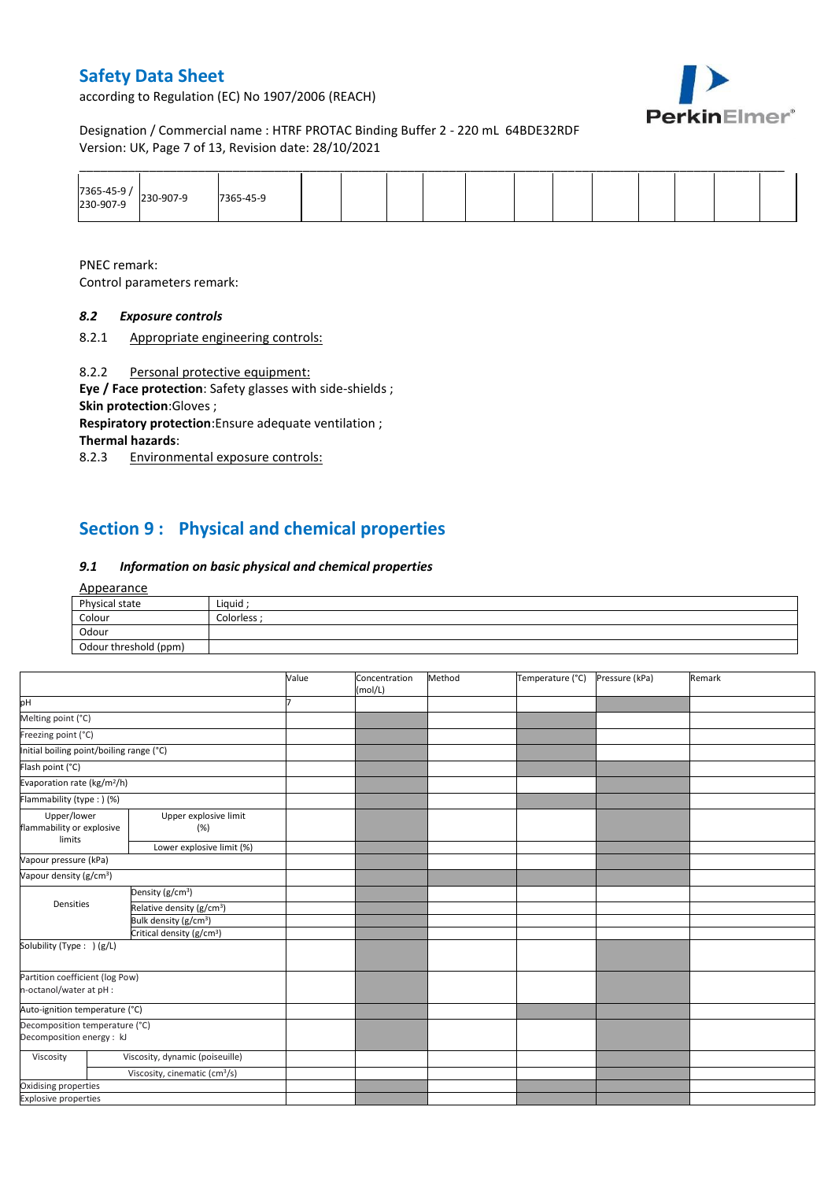according to Regulation (EC) No 1907/2006 (REACH)



Designation / Commercial name : HTRF PROTAC Binding Buffer 2 - 220 mL 64BDE32RDF Version: UK, Page 7 of 13, Revision date: 28/10/2021

|                       |           |  |  |  | ______ |  |  |  |
|-----------------------|-----------|--|--|--|--------|--|--|--|
| 7365-45-9 / 230-907-9 | 7365-45-9 |  |  |  |        |  |  |  |

PNEC remark:

Control parameters remark:

## *8.2 Exposure controls*

8.2.1 Appropriate engineering controls:

8.2.2 Personal protective equipment:

**Eye / Face protection**: Safety glasses with side-shields ; **Skin protection**:Gloves ;

**Respiratory protection**:Ensure adequate ventilation ; **Thermal hazards**:

8.2.3 Environmental exposure controls:

## **Section 9 : Physical and chemical properties**

### *9.1 Information on basic physical and chemical properties*

#### Appearance

| Physical state        | Liquid    |
|-----------------------|-----------|
| Colour                | Colorless |
| Odour                 |           |
| Odour threshold (ppm) |           |

|                                                             |                                           | Value | Concentration<br>(mol/L) | Method | Temperature (°C) | Pressure (kPa) | Remark |
|-------------------------------------------------------------|-------------------------------------------|-------|--------------------------|--------|------------------|----------------|--------|
| pH                                                          |                                           |       |                          |        |                  |                |        |
| Melting point (°C)                                          |                                           |       |                          |        |                  |                |        |
| Freezing point (°C)                                         |                                           |       |                          |        |                  |                |        |
| Initial boiling point/boiling range (°C)                    |                                           |       |                          |        |                  |                |        |
| Flash point (°C)                                            |                                           |       |                          |        |                  |                |        |
|                                                             | Evaporation rate (kg/m <sup>2</sup> /h)   |       |                          |        |                  |                |        |
| Flammability (type: ) (%)                                   |                                           |       |                          |        |                  |                |        |
| Upper/lower<br>flammability or explosive<br>limits          | Upper explosive limit<br>(%)              |       |                          |        |                  |                |        |
|                                                             | Lower explosive limit (%)                 |       |                          |        |                  |                |        |
| Vapour pressure (kPa)                                       |                                           |       |                          |        |                  |                |        |
| Vapour density (g/cm <sup>3</sup> )                         |                                           |       |                          |        |                  |                |        |
|                                                             | Density (g/cm <sup>3</sup> )              |       |                          |        |                  |                |        |
| Densities                                                   | Relative density (g/cm <sup>3</sup> )     |       |                          |        |                  |                |        |
|                                                             | Bulk density (g/cm <sup>3</sup> )         |       |                          |        |                  |                |        |
|                                                             | Critical density (g/cm <sup>3</sup> )     |       |                          |        |                  |                |        |
| Solubility (Type: ) (g/L)                                   |                                           |       |                          |        |                  |                |        |
| Partition coefficient (log Pow)<br>n-octanol/water at pH :  |                                           |       |                          |        |                  |                |        |
| Auto-ignition temperature (°C)                              |                                           |       |                          |        |                  |                |        |
| Decomposition temperature (°C)<br>Decomposition energy : kJ |                                           |       |                          |        |                  |                |        |
| Viscosity                                                   | Viscosity, dynamic (poiseuille)           |       |                          |        |                  |                |        |
|                                                             | Viscosity, cinematic (cm <sup>3</sup> /s) |       |                          |        |                  |                |        |
| Oxidising properties                                        |                                           |       |                          |        |                  |                |        |
| <b>Explosive properties</b>                                 |                                           |       |                          |        |                  |                |        |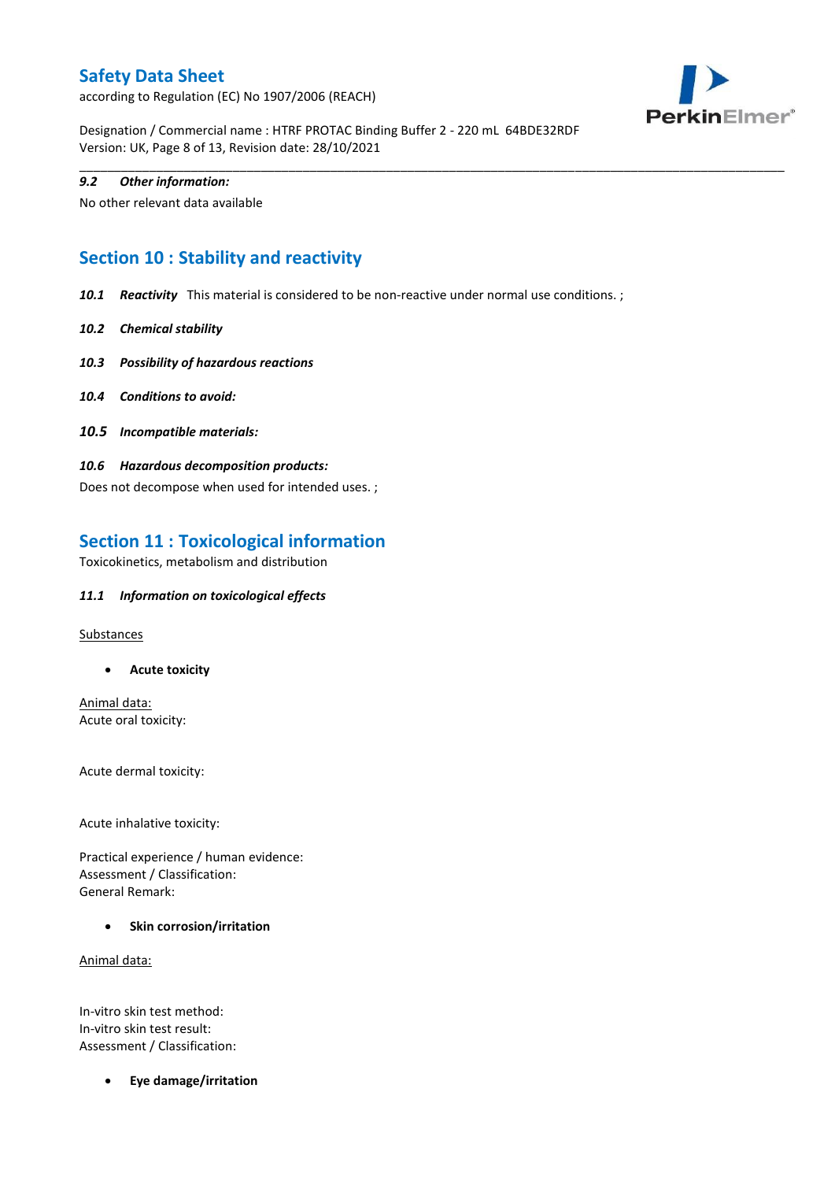according to Regulation (EC) No 1907/2006 (REACH)



Designation / Commercial name : HTRF PROTAC Binding Buffer 2 - 220 mL 64BDE32RDF Version: UK, Page 8 of 13, Revision date: 28/10/2021

### *9.2 Other information:*

No other relevant data available

## **Section 10 : Stability and reactivity**

*10.1 Reactivity* This material is considered to be non-reactive under normal use conditions. ;

\_\_\_\_\_\_\_\_\_\_\_\_\_\_\_\_\_\_\_\_\_\_\_\_\_\_\_\_\_\_\_\_\_\_\_\_\_\_\_\_\_\_\_\_\_\_\_\_\_\_\_\_\_\_\_\_\_\_\_\_\_\_\_\_\_\_\_\_\_\_\_\_\_\_\_\_\_\_\_\_\_\_\_\_\_\_\_\_\_\_\_\_\_\_\_\_\_\_\_\_\_

- *10.2 Chemical stability*
- *10.3 Possibility of hazardous reactions*
- *10.4 Conditions to avoid:*
- *10.5 Incompatible materials:*
- *10.6 Hazardous decomposition products:*

Does not decompose when used for intended uses. ;

## **Section 11 : Toxicological information**

Toxicokinetics, metabolism and distribution

### *11.1 Information on toxicological effects*

**Substances** 

**Acute toxicity**

Animal data: Acute oral toxicity:

Acute dermal toxicity:

Acute inhalative toxicity:

Practical experience / human evidence: Assessment / Classification: General Remark:

**•** Skin corrosion/irritation

Animal data:

In-vitro skin test method: In-vitro skin test result: Assessment / Classification:

**Eye damage/irritation**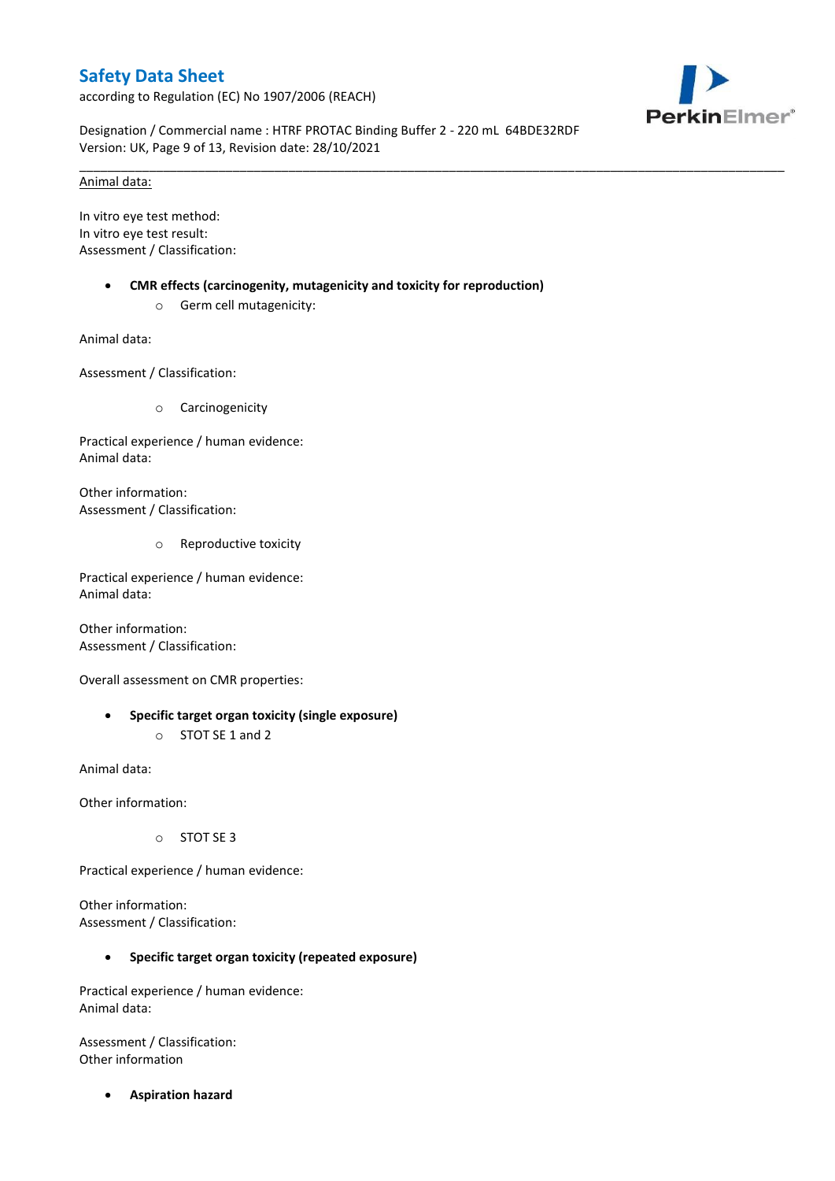according to Regulation (EC) No 1907/2006 (REACH)



Designation / Commercial name : HTRF PROTAC Binding Buffer 2 - 220 mL 64BDE32RDF Version: UK, Page 9 of 13, Revision date: 28/10/2021

\_\_\_\_\_\_\_\_\_\_\_\_\_\_\_\_\_\_\_\_\_\_\_\_\_\_\_\_\_\_\_\_\_\_\_\_\_\_\_\_\_\_\_\_\_\_\_\_\_\_\_\_\_\_\_\_\_\_\_\_\_\_\_\_\_\_\_\_\_\_\_\_\_\_\_\_\_\_\_\_\_\_\_\_\_\_\_\_\_\_\_\_\_\_\_\_\_\_\_\_\_

### Animal data:

In vitro eye test method: In vitro eye test result: Assessment / Classification:

- **CMR effects (carcinogenity, mutagenicity and toxicity for reproduction)**
	- o Germ cell mutagenicity:

Animal data:

Assessment / Classification:

o Carcinogenicity

Practical experience / human evidence: Animal data:

Other information: Assessment / Classification:

o Reproductive toxicity

Practical experience / human evidence: Animal data:

Other information: Assessment / Classification:

Overall assessment on CMR properties:

 **Specific target organ toxicity (single exposure)** o STOT SE 1 and 2

Animal data:

Other information:

o STOT SE 3

Practical experience / human evidence:

Other information: Assessment / Classification:

## **Specific target organ toxicity (repeated exposure)**

Practical experience / human evidence: Animal data:

Assessment / Classification: Other information

**Aspiration hazard**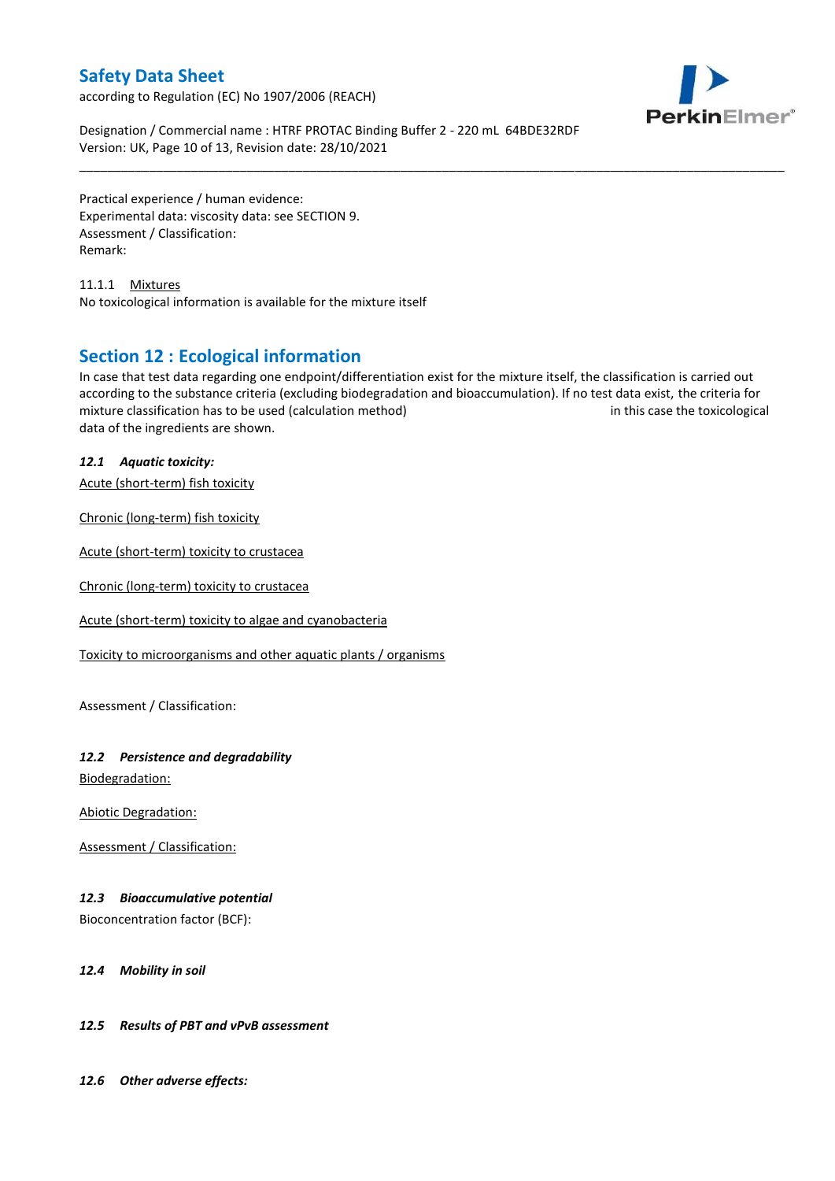according to Regulation (EC) No 1907/2006 (REACH)



Designation / Commercial name : HTRF PROTAC Binding Buffer 2 - 220 mL 64BDE32RDF Version: UK, Page 10 of 13, Revision date: 28/10/2021

Practical experience / human evidence: Experimental data: viscosity data: see SECTION 9. Assessment / Classification: Remark:

11.1.1 Mixtures No toxicological information is available for the mixture itself

## **Section 12 : Ecological information**

In case that test data regarding one endpoint/differentiation exist for the mixture itself, the classification is carried out according to the substance criteria (excluding biodegradation and bioaccumulation). If no test data exist, the criteria for mixture classification has to be used (calculation method) in this case the toxicological data of the ingredients are shown.

\_\_\_\_\_\_\_\_\_\_\_\_\_\_\_\_\_\_\_\_\_\_\_\_\_\_\_\_\_\_\_\_\_\_\_\_\_\_\_\_\_\_\_\_\_\_\_\_\_\_\_\_\_\_\_\_\_\_\_\_\_\_\_\_\_\_\_\_\_\_\_\_\_\_\_\_\_\_\_\_\_\_\_\_\_\_\_\_\_\_\_\_\_\_\_\_\_\_\_\_\_

## *12.1 Aquatic toxicity:*

Acute (short-term) fish toxicity

Chronic (long-term) fish toxicity

Acute (short-term) toxicity to crustacea

Chronic (long-term) toxicity to crustacea

Acute (short-term) toxicity to algae and cyanobacteria

Toxicity to microorganisms and other aquatic plants / organisms

Assessment / Classification:

## *12.2 Persistence and degradability*

Biodegradation:

Abiotic Degradation:

Assessment / Classification:

## *12.3 Bioaccumulative potential*

Bioconcentration factor (BCF):

### *12.4 Mobility in soil*

## *12.5 Results of PBT and vPvB assessment*

*12.6 Other adverse effects:*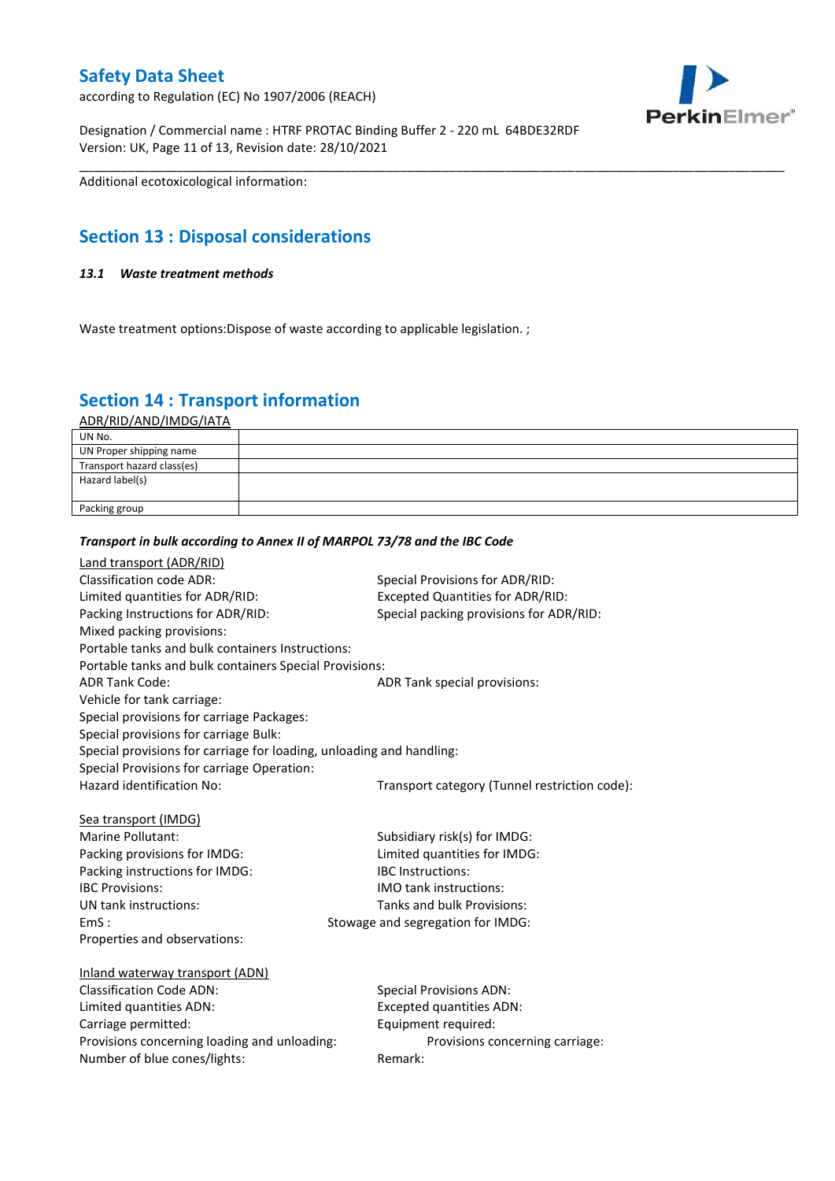according to Regulation (EC) No 1907/2006 (REACH)

Designation / Commercial name : HTRF PROTAC Binding Buffer 2 - 220 mL 64BDE32RDF Version: UK, Page 11 of 13, Revision date: 28/10/2021

\_\_\_\_\_\_\_\_\_\_\_\_\_\_\_\_\_\_\_\_\_\_\_\_\_\_\_\_\_\_\_\_\_\_\_\_\_\_\_\_\_\_\_\_\_\_\_\_\_\_\_\_\_\_\_\_\_\_\_\_\_\_\_\_\_\_\_\_\_\_\_\_\_\_\_\_\_\_\_\_\_\_\_\_\_\_\_\_\_\_\_\_\_\_\_\_\_\_\_\_\_ Additional ecotoxicological information:

## **Section 13 : Disposal considerations**

## *13.1 Waste treatment methods*

Waste treatment options: Dispose of waste according to applicable legislation.;

## **Section 14 : Transport information**

ADR/RID/AND/IMDG/IATA

| UN No.                     |  |
|----------------------------|--|
| UN Proper shipping name    |  |
| Transport hazard class(es) |  |
| Hazard label(s)            |  |
|                            |  |
| Packing group              |  |

## *Transport in bulk according to Annex II of MARPOL 73/78 and the IBC Code*

| <b>Land transport (ADR/RID)</b>                                      |                                               |
|----------------------------------------------------------------------|-----------------------------------------------|
| <b>Classification code ADR:</b>                                      | Special Provisions for ADR/RID:               |
| Limited quantities for ADR/RID:                                      | <b>Excepted Quantities for ADR/RID:</b>       |
| Packing Instructions for ADR/RID:                                    | Special packing provisions for ADR/RID:       |
| Mixed packing provisions:                                            |                                               |
| Portable tanks and bulk containers Instructions:                     |                                               |
| Portable tanks and bulk containers Special Provisions:               |                                               |
| <b>ADR Tank Code:</b>                                                | ADR Tank special provisions:                  |
| Vehicle for tank carriage:                                           |                                               |
| Special provisions for carriage Packages:                            |                                               |
| Special provisions for carriage Bulk:                                |                                               |
| Special provisions for carriage for loading, unloading and handling: |                                               |
| Special Provisions for carriage Operation:                           |                                               |
| Hazard identification No:                                            | Transport category (Tunnel restriction code): |
|                                                                      |                                               |
| Sea transport (IMDG)                                                 |                                               |
| Marine Pollutant:                                                    | Subsidiary risk(s) for IMDG:                  |
| Packing provisions for IMDG:                                         | Limited quantities for IMDG:                  |
| Packing instructions for IMDG:                                       | <b>IBC</b> Instructions:                      |
| <b>IBC Provisions:</b>                                               | <b>IMO tank instructions:</b>                 |
| UN tank instructions:                                                | Tanks and bulk Provisions:                    |
| EmS:                                                                 | Stowage and segregation for IMDG:             |
| Properties and observations:                                         |                                               |
|                                                                      |                                               |
| Inland waterway transport (ADN)<br><b>Classification Code ADN:</b>   |                                               |
|                                                                      | <b>Special Provisions ADN:</b>                |
| Limited quantities ADN:                                              | <b>Excepted quantities ADN:</b>               |
| Carriage permitted:                                                  | Equipment required:                           |
| Provisions concerning loading and unloading:                         | Provisions concerning carriage:               |
| Number of blue cones/lights:                                         | Remark:                                       |
|                                                                      |                                               |

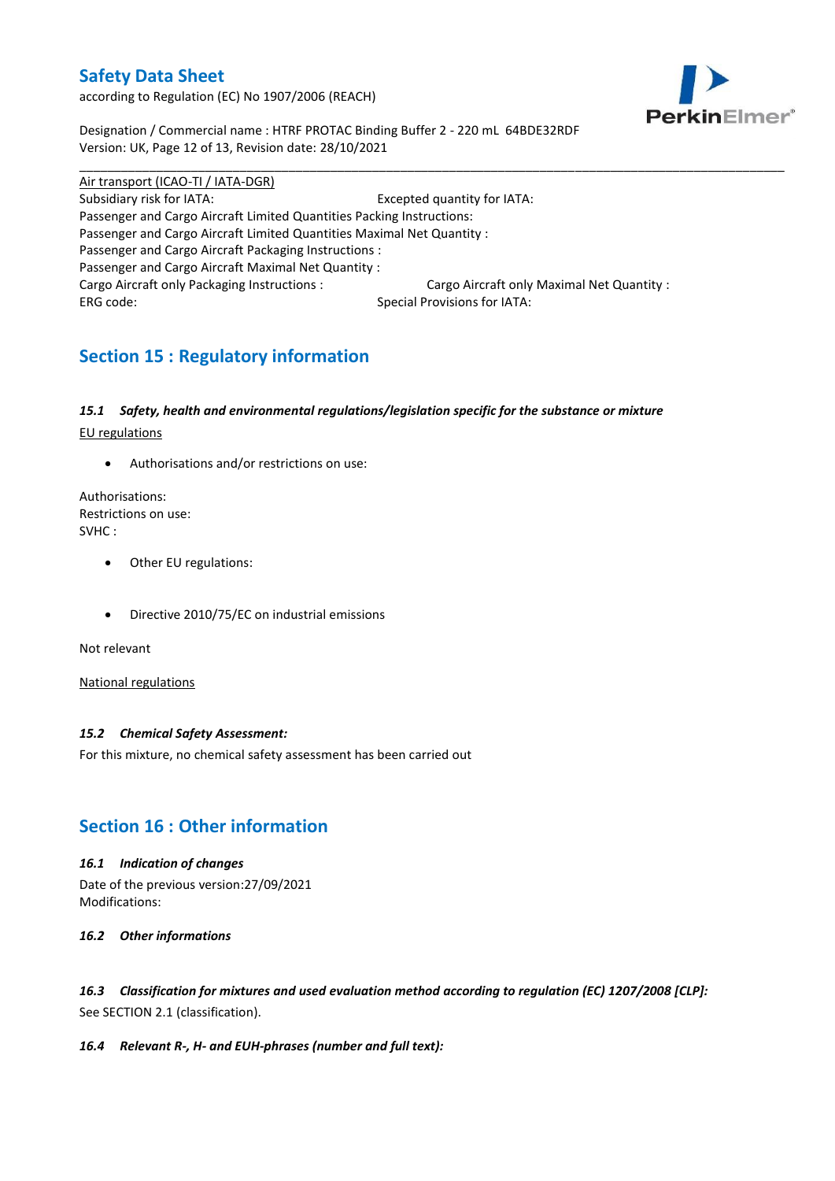according to Regulation (EC) No 1907/2006 (REACH)



Designation / Commercial name : HTRF PROTAC Binding Buffer 2 - 220 mL 64BDE32RDF Version: UK, Page 12 of 13, Revision date: 28/10/2021

Air transport (ICAO-TI / IATA-DGR) Subsidiary risk for IATA: Excepted quantity for IATA: Passenger and Cargo Aircraft Limited Quantities Packing Instructions: Passenger and Cargo Aircraft Limited Quantities Maximal Net Quantity : Passenger and Cargo Aircraft Packaging Instructions : Passenger and Cargo Aircraft Maximal Net Quantity : Cargo Aircraft only Packaging Instructions : Cargo Aircraft only Maximal Net Quantity : ERG code: Special Provisions for IATA:

\_\_\_\_\_\_\_\_\_\_\_\_\_\_\_\_\_\_\_\_\_\_\_\_\_\_\_\_\_\_\_\_\_\_\_\_\_\_\_\_\_\_\_\_\_\_\_\_\_\_\_\_\_\_\_\_\_\_\_\_\_\_\_\_\_\_\_\_\_\_\_\_\_\_\_\_\_\_\_\_\_\_\_\_\_\_\_\_\_\_\_\_\_\_\_\_\_\_\_\_\_

## **Section 15 : Regulatory information**

### *15.1 Safety, health and environmental regulations/legislation specific for the substance or mixture*

EU regulations

Authorisations and/or restrictions on use:

Authorisations: Restrictions on use: SVHC :

- Other EU regulations:
- Directive 2010/75/EC on industrial emissions

Not relevant

National regulations

## *15.2 Chemical Safety Assessment:*

For this mixture, no chemical safety assessment has been carried out

## **Section 16 : Other information**

### *16.1 Indication of changes*

Date of the previous version:27/09/2021 Modifications:

*16.2 Other informations*

*16.3 Classification for mixtures and used evaluation method according to regulation (EC) 1207/2008 [CLP]:* See SECTION 2.1 (classification).

### *16.4 Relevant R-, H- and EUH-phrases (number and full text):*